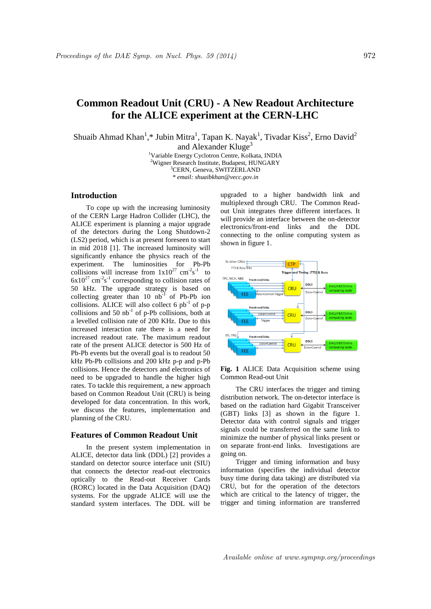# **Common Readout Unit (CRU) - A New Readout Architecture for the ALICE experiment at the CERN-LHC**

Shuaib Ahmad Khan<sup>1</sup>,\* Jubin Mitra<sup>1</sup>, Tapan K. Nayak<sup>1</sup>, Tivadar Kiss<sup>2</sup>, Erno David<sup>2</sup> and Alexander Kluge<sup>3</sup>

> <sup>1</sup>Variable Energy Cyclotron Centre, Kolkata, INDIA <sup>2</sup>Wigner Research Institute, Budapest, HUNGARY <sup>3</sup>CERN, Geneva, SWITZERLAND *\* email: shuaibkhan@vecc.gov.in*

## **Introduction**

To cope up with the increasing luminosity of the CERN Large Hadron Collider (LHC), the ALICE experiment is planning a major upgrade of the detectors during the Long Shutdown-2 (LS2) period, which is at present foreseen to start in mid 2018 [1]. The increased luminosity will significantly enhance the physics reach of the experiment. The luminosities for Pb-Pb collisions will increase from  $1x10^{27}$  cm<sup>-2</sup>s<sup>-1</sup> to  $6x10^{27}$  cm<sup>-2</sup>s<sup>-1</sup> corresponding to collision rates of 50 kHz. The upgrade strategy is based on collecting greater than 10  $nb^{-1}$  of Pb-Pb ion collisions. ALICE will also collect 6  $pb^{-1}$  of p-p collisions and  $50$  nb<sup>-1</sup> of p-Pb collisions, both at a levelled collision rate of 200 KHz. Due to this increased interaction rate there is a need for increased readout rate. The maximum readout rate of the present ALICE detector is 500 Hz of Pb-Pb events but the overall goal is to readout 50 kHz Pb-Pb collisions and 200 kHz p-p and p-Pb collisions. Hence the detectors and electronics of need to be upgraded to handle the higher high rates. To tackle this requirement, a new approach based on Common Readout Unit (CRU) is being developed for data concentration. In this work, we discuss the features, implementation and planning of the CRU.

### **Features of Common Readout Unit**

In the present system implementation in ALICE, detector data link (DDL) [2] provides a standard on detector source interface unit (SIU) that connects the detector read-out electronics optically to the Read-out Receiver Cards (RORC) located in the Data Acquisition (DAQ) systems. For the upgrade ALICE will use the standard system interfaces. The DDL will be

upgraded to a higher bandwidth link and multiplexed through CRU. The Common Readout Unit integrates three different interfaces. It will provide an interface between the on-detector electronics/front-end links and the DDL connecting to the online computing system as shown in figure 1.



**Fig. 1** ALICE Data Acquisition scheme using Common Read-out Unit

The CRU interfaces the trigger and timing distribution network. The on-detector interface is based on the radiation hard Gigabit Transceiver (GBT) links [3] as shown in the figure 1. Detector data with control signals and trigger signals could be transferred on the same link to minimize the number of physical links present or on separate front-end links. Investigations are going on.

Trigger and timing information and busy information (specifies the individual detector busy time during data taking) are distributed via CRU, but for the operation of the detectors which are critical to the latency of trigger, the trigger and timing information are transferred